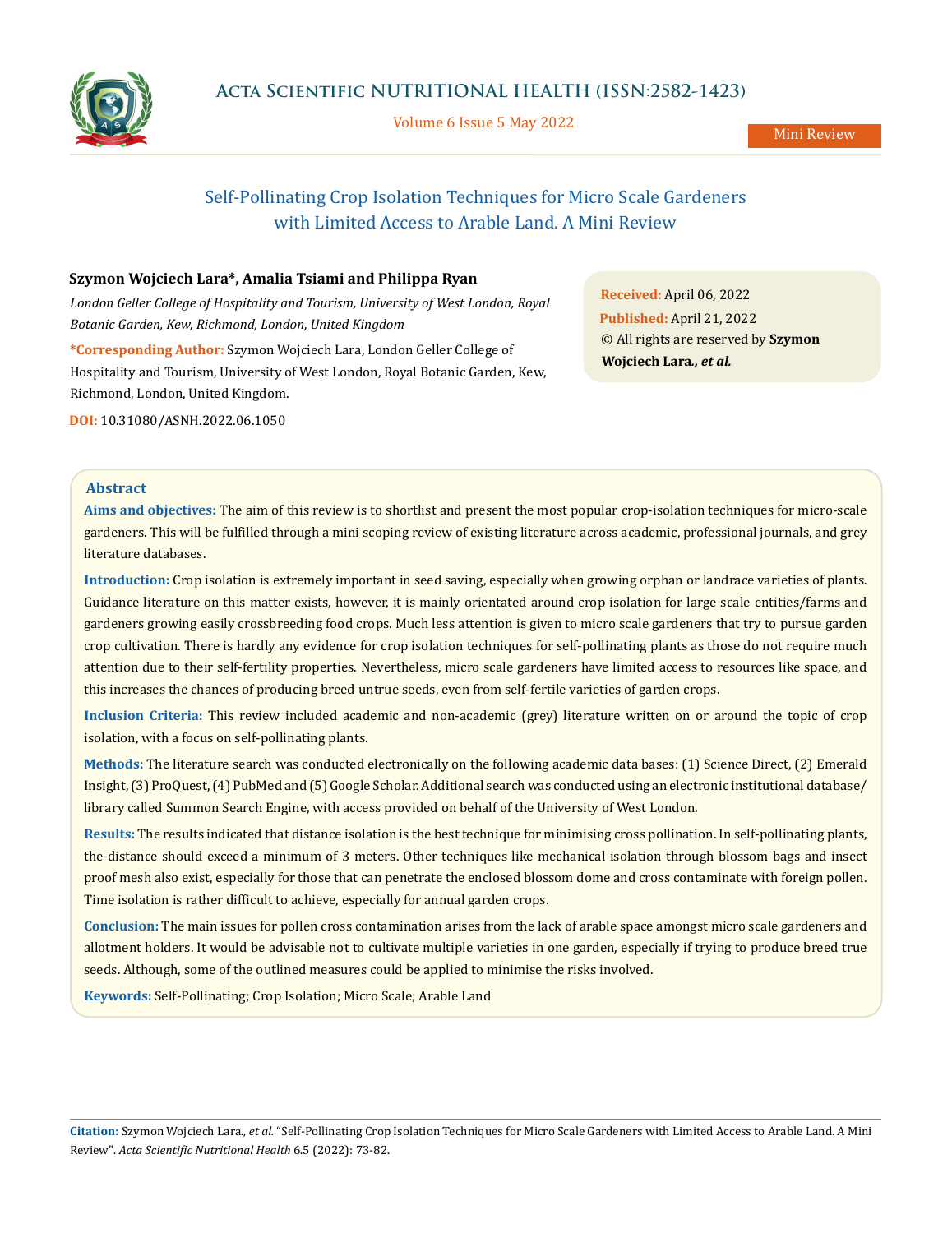

Volume 6 Issue 5 May 2022

Mini Review

# Self-Pollinating Crop Isolation Techniques for Micro Scale Gardeners with Limited Access to Arable Land. A Mini Review

# **Szymon Wojciech Lara\*, Amalia Tsiami and Philippa Ryan**

*London Geller College of Hospitality and Tourism, University of West London, Royal Botanic Garden, Kew, Richmond, London, United Kingdom*

**\*Corresponding Author:** Szymon Wojciech Lara, London Geller College of Hospitality and Tourism, University of West London, Royal Botanic Garden, Kew, Richmond, London, United Kingdom.

**DOI:** [10.31080/ASNH.2022.06.1050](http:// actascientific.com/ASNH/pdf/ASNH-06-1050.pdf)

**Received:** April 06, 2022 **Published:** April 21, 2022 © All rights are reserved by **Szymon Wojciech Lara***., et al.*

## **Abstract**

**Aims and objectives:** The aim of this review is to shortlist and present the most popular crop-isolation techniques for micro-scale gardeners. This will be fulfilled through a mini scoping review of existing literature across academic, professional journals, and grey literature databases.

**Introduction:** Crop isolation is extremely important in seed saving, especially when growing orphan or landrace varieties of plants. Guidance literature on this matter exists, however, it is mainly orientated around crop isolation for large scale entities/farms and gardeners growing easily crossbreeding food crops. Much less attention is given to micro scale gardeners that try to pursue garden crop cultivation. There is hardly any evidence for crop isolation techniques for self-pollinating plants as those do not require much attention due to their self-fertility properties. Nevertheless, micro scale gardeners have limited access to resources like space, and this increases the chances of producing breed untrue seeds, even from self-fertile varieties of garden crops.

**Inclusion Criteria:** This review included academic and non-academic (grey) literature written on or around the topic of crop isolation, with a focus on self-pollinating plants.

**Methods:** The literature search was conducted electronically on the following academic data bases: (1) Science Direct, (2) Emerald Insight, (3) ProQuest, (4) PubMed and (5) Google Scholar. Additional search was conducted using an electronic institutional database/ library called Summon Search Engine, with access provided on behalf of the University of West London.

**Results:** The results indicated that distance isolation is the best technique for minimising cross pollination. In self-pollinating plants, the distance should exceed a minimum of 3 meters. Other techniques like mechanical isolation through blossom bags and insect proof mesh also exist, especially for those that can penetrate the enclosed blossom dome and cross contaminate with foreign pollen. Time isolation is rather difficult to achieve, especially for annual garden crops.

**Conclusion:** The main issues for pollen cross contamination arises from the lack of arable space amongst micro scale gardeners and allotment holders. It would be advisable not to cultivate multiple varieties in one garden, especially if trying to produce breed true seeds. Although, some of the outlined measures could be applied to minimise the risks involved.

**Keywords:** Self-Pollinating; Crop Isolation; Micro Scale; Arable Land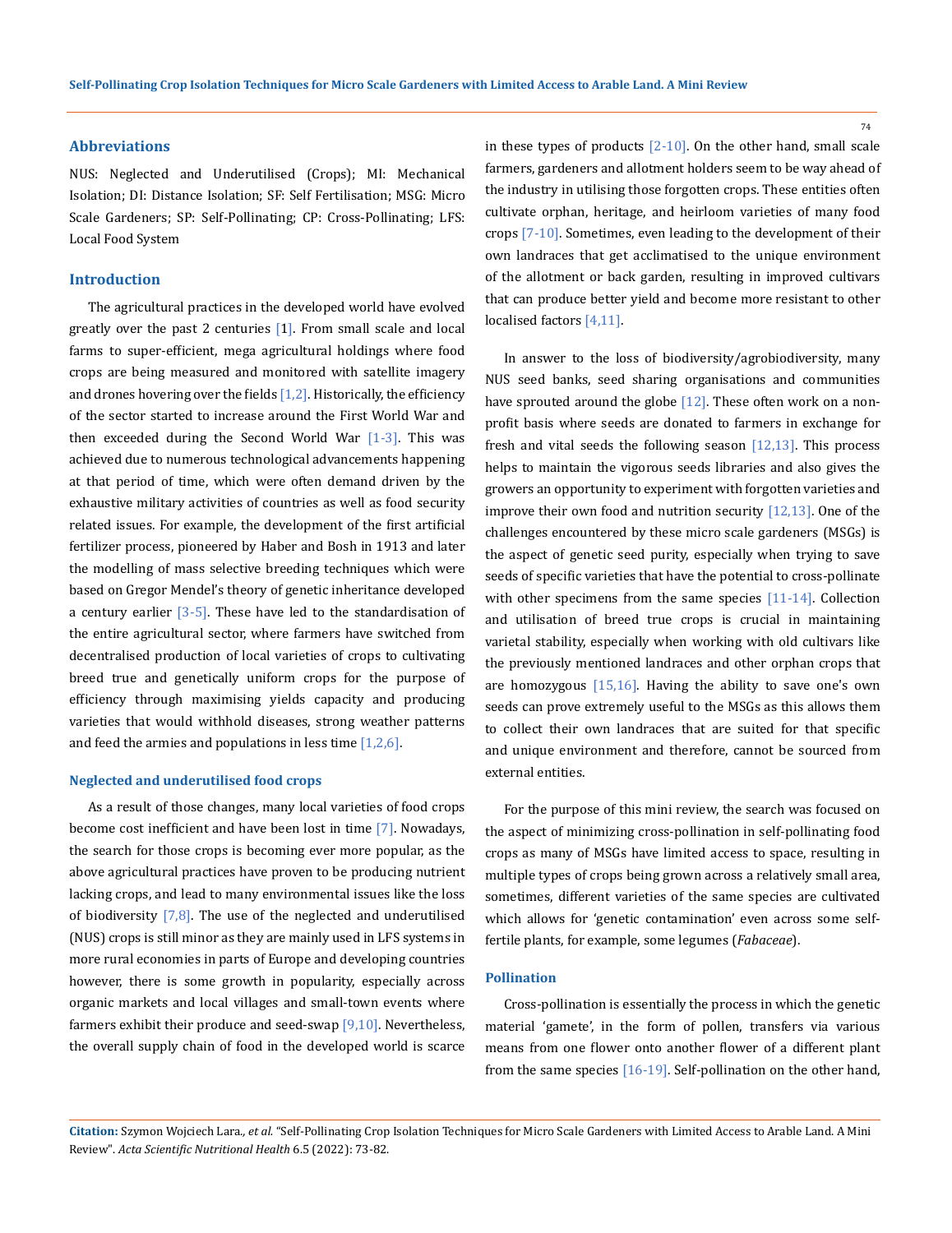## **Abbreviations**

NUS: Neglected and Underutilised (Crops); MI: Mechanical Isolation; DI: Distance Isolation; SF: Self Fertilisation; MSG: Micro Scale Gardeners; SP: Self-Pollinating; CP: Cross-Pollinating; LFS: Local Food System

# **Introduction**

The agricultural practices in the developed world have evolved greatly over the past 2 centuries  $[1]$ . From small scale and local farms to super-efficient, mega agricultural holdings where food crops are being measured and monitored with satellite imagery and drones hovering over the fields  $[1,2]$ . Historically, the efficiency of the sector started to increase around the First World War and then exceeded during the Second World War  $[1-3]$ . This was achieved due to numerous technological advancements happening at that period of time, which were often demand driven by the exhaustive military activities of countries as well as food security related issues. For example, the development of the first artificial fertilizer process, pioneered by Haber and Bosh in 1913 and later the modelling of mass selective breeding techniques which were based on Gregor Mendel's theory of genetic inheritance developed a century earlier [3-5]. These have led to the standardisation of the entire agricultural sector, where farmers have switched from decentralised production of local varieties of crops to cultivating breed true and genetically uniform crops for the purpose of efficiency through maximising yields capacity and producing varieties that would withhold diseases, strong weather patterns and feed the armies and populations in less time  $[1,2,6]$ .

#### **Neglected and underutilised food crops**

As a result of those changes, many local varieties of food crops become cost inefficient and have been lost in time [7]. Nowadays, the search for those crops is becoming ever more popular, as the above agricultural practices have proven to be producing nutrient lacking crops, and lead to many environmental issues like the loss of biodiversity  $[7,8]$ . The use of the neglected and underutilised (NUS) crops is still minor as they are mainly used in LFS systems in more rural economies in parts of Europe and developing countries however, there is some growth in popularity, especially across organic markets and local villages and small-town events where farmers exhibit their produce and seed-swap  $[9,10]$ . Nevertheless, the overall supply chain of food in the developed world is scarce in these types of products  $[2-10]$ . On the other hand, small scale farmers, gardeners and allotment holders seem to be way ahead of the industry in utilising those forgotten crops. These entities often cultivate orphan, heritage, and heirloom varieties of many food crops [7-10]. Sometimes, even leading to the development of their own landraces that get acclimatised to the unique environment of the allotment or back garden, resulting in improved cultivars that can produce better yield and become more resistant to other localised factors [4,11].

In answer to the loss of biodiversity/agrobiodiversity, many NUS seed banks, seed sharing organisations and communities have sprouted around the globe  $[12]$ . These often work on a nonprofit basis where seeds are donated to farmers in exchange for fresh and vital seeds the following season  $[12,13]$ . This process helps to maintain the vigorous seeds libraries and also gives the growers an opportunity to experiment with forgotten varieties and improve their own food and nutrition security [12,13]. One of the challenges encountered by these micro scale gardeners (MSGs) is the aspect of genetic seed purity, especially when trying to save seeds of specific varieties that have the potential to cross-pollinate with other specimens from the same species [11-14]. Collection and utilisation of breed true crops is crucial in maintaining varietal stability, especially when working with old cultivars like the previously mentioned landraces and other orphan crops that are homozygous [15,16]. Having the ability to save one's own seeds can prove extremely useful to the MSGs as this allows them to collect their own landraces that are suited for that specific and unique environment and therefore, cannot be sourced from external entities.

For the purpose of this mini review, the search was focused on the aspect of minimizing cross-pollination in self-pollinating food crops as many of MSGs have limited access to space, resulting in multiple types of crops being grown across a relatively small area, sometimes, different varieties of the same species are cultivated which allows for 'genetic contamination' even across some selffertile plants, for example, some legumes (*Fabaceae*).

#### **Pollination**

Cross-pollination is essentially the process in which the genetic material 'gamete', in the form of pollen, transfers via various means from one flower onto another flower of a different plant from the same species [16-19]. Self-pollination on the other hand,

**Citation:** Szymon Wojciech Lara*., et al.* "Self-Pollinating Crop Isolation Techniques for Micro Scale Gardeners with Limited Access to Arable Land. A Mini Review". *Acta Scientific Nutritional Health* 6.5 (2022): 73-82.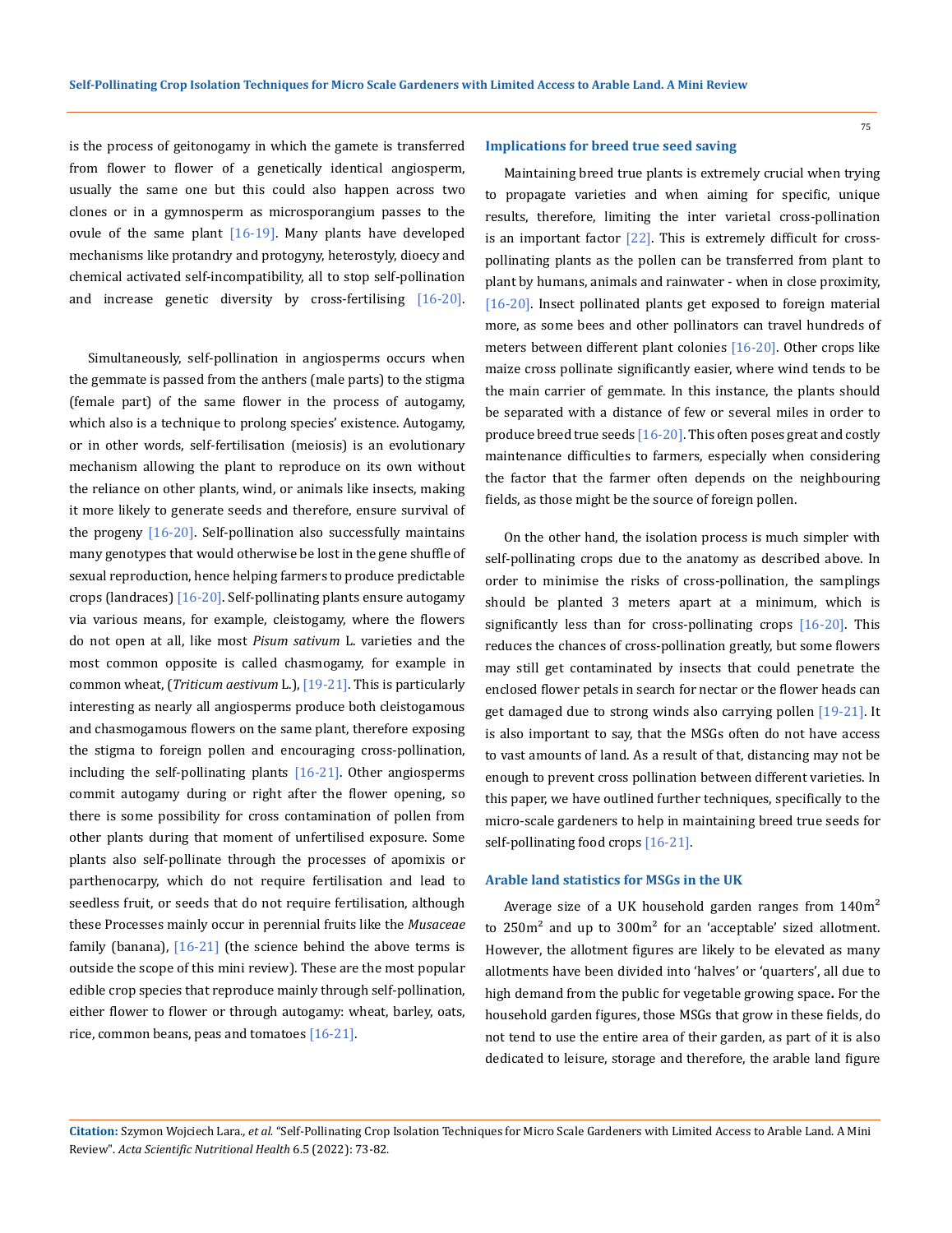is the process of geitonogamy in which the gamete is transferred from flower to flower of a genetically identical angiosperm, usually the same one but this could also happen across two clones or in a gymnosperm as microsporangium passes to the ovule of the same plant  $[16-19]$ . Many plants have developed mechanisms like protandry and protogyny, heterostyly, dioecy and chemical activated self-incompatibility, all to stop self-pollination and increase genetic diversity by cross-fertilising [16-20].

Simultaneously, self-pollination in angiosperms occurs when the gemmate is passed from the anthers (male parts) to the stigma (female part) of the same flower in the process of autogamy, which also is a technique to prolong species' existence. Autogamy, or in other words, self-fertilisation (meiosis) is an evolutionary mechanism allowing the plant to reproduce on its own without the reliance on other plants, wind, or animals like insects, making it more likely to generate seeds and therefore, ensure survival of the progeny  $[16-20]$ . Self-pollination also successfully maintains many genotypes that would otherwise be lost in the gene shuffle of sexual reproduction, hence helping farmers to produce predictable crops (landraces) [16-20]. Self-pollinating plants ensure autogamy via various means, for example, cleistogamy, where the flowers do not open at all, like most *Pisum sativum* L. varieties and the most common opposite is called chasmogamy, for example in common wheat, (*Triticum aestivum* L.), [19-21]. This is particularly interesting as nearly all angiosperms produce both cleistogamous and chasmogamous flowers on the same plant, therefore exposing the stigma to foreign pollen and encouraging cross-pollination, including the self-pollinating plants  $[16-21]$ . Other angiosperms commit autogamy during or right after the flower opening, so there is some possibility for cross contamination of pollen from other plants during that moment of unfertilised exposure. Some plants also self-pollinate through the processes of apomixis or parthenocarpy, which do not require fertilisation and lead to seedless fruit, or seeds that do not require fertilisation, although these Processes mainly occur in perennial fruits like the *[Musaceae](https://www.google.com/search?rlz=1C1VDKB_en-GBGB970GB970&sxsrf=APq-WBtKwvlPFPYn_15vCY5BY9WNhxbGUA:1649152132687&q=Musaceae&stick=H4sIAAAAAAAAAONgVuLUz9U3MDSuyDZbxMrhW1qcmJyamAoArjoODRgAAAA&sa=X&ved=2ahUKEwjEnbK40vz2AhXVh1wKHR_lCQAQmxMoAXoECFEQAw)* family (banana), [16-21] (the science behind the above terms is outside the scope of this mini review). These are the most popular edible crop species that reproduce mainly through self-pollination, either flower to flower or through autogamy: wheat, barley, oats, rice, common beans, peas and tomatoes [16-21].

## **Implications for breed true seed saving**

Maintaining breed true plants is extremely crucial when trying to propagate varieties and when aiming for specific, unique results, therefore, limiting the inter varietal cross-pollination is an important factor  $[22]$ . This is extremely difficult for crosspollinating plants as the pollen can be transferred from plant to plant by humans, animals and rainwater - when in close proximity, [16-20]. Insect pollinated plants get exposed to foreign material more, as some bees and other pollinators can travel hundreds of meters between different plant colonies [16-20]. Other crops like maize cross pollinate significantly easier, where wind tends to be the main carrier of gemmate. In this instance, the plants should be separated with a distance of few or several miles in order to produce breed true seeds [16-20]. This often poses great and costly maintenance difficulties to farmers, especially when considering the factor that the farmer often depends on the neighbouring fields, as those might be the source of foreign pollen.

On the other hand, the isolation process is much simpler with self-pollinating crops due to the anatomy as described above. In order to minimise the risks of cross-pollination, the samplings should be planted 3 meters apart at a minimum, which is significantly less than for cross-pollinating crops [16-20]. This reduces the chances of cross-pollination greatly, but some flowers may still get contaminated by insects that could penetrate the enclosed flower petals in search for nectar or the flower heads can get damaged due to strong winds also carrying pollen [19-21]. It is also important to say, that the MSGs often do not have access to vast amounts of land. As a result of that, distancing may not be enough to prevent cross pollination between different varieties. In this paper, we have outlined further techniques, specifically to the micro-scale gardeners to help in maintaining breed true seeds for self-pollinating food crops [16-21].

# **Arable land statistics for MSGs in the UK**

Average size of a UK household garden ranges from 140m<sup>2</sup> to 250m² and up to 300m² for an 'acceptable' sized allotment. However, the allotment figures are likely to be elevated as many allotments have been divided into 'halves' or 'quarters', all due to high demand from the public for vegetable growing space**.** For the household garden figures, those MSGs that grow in these fields, do not tend to use the entire area of their garden, as part of it is also dedicated to leisure, storage and therefore, the arable land figure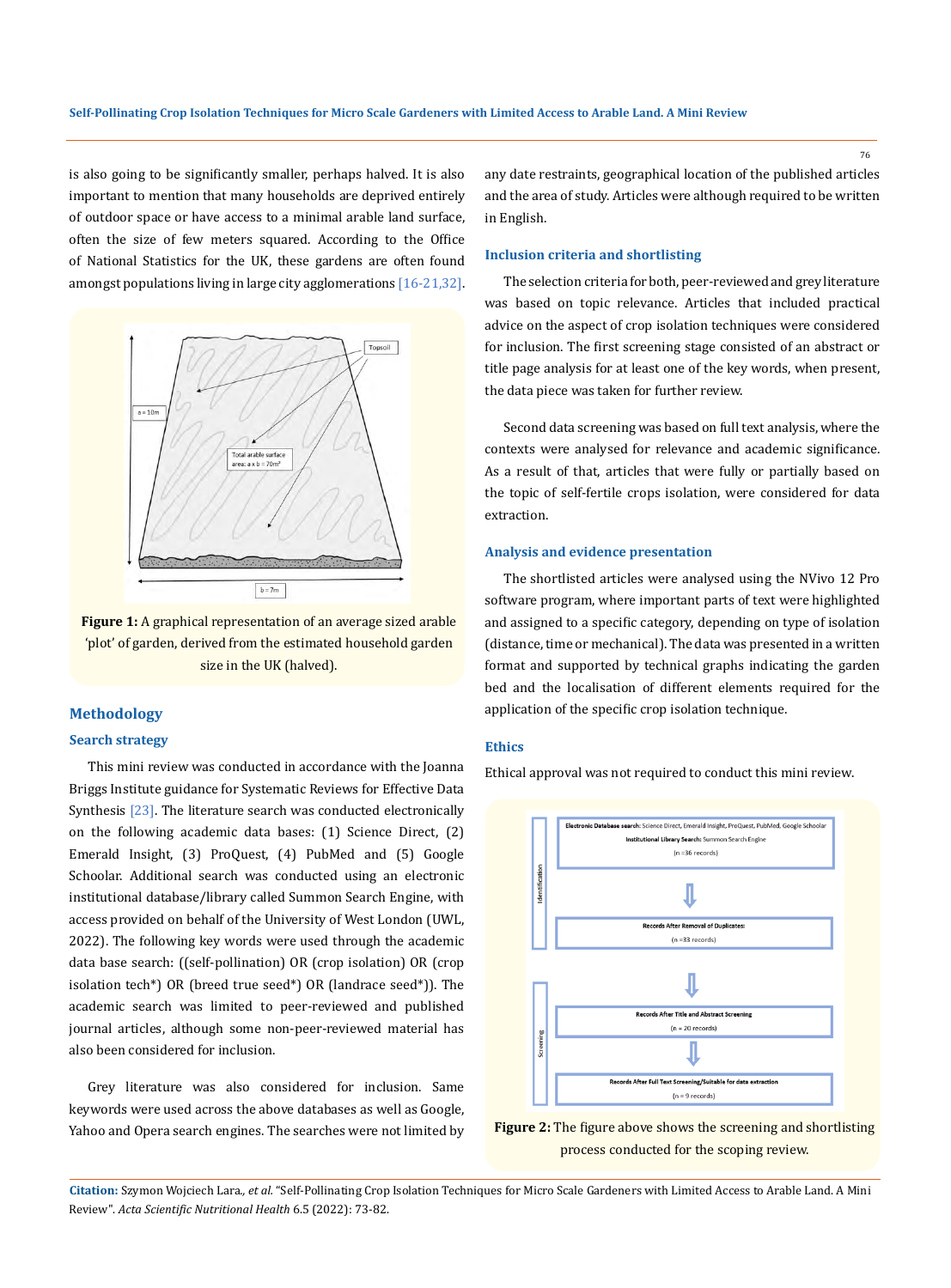is also going to be significantly smaller, perhaps halved. It is also important to mention that many households are deprived entirely of outdoor space or have access to a minimal arable land surface, often the size of few meters squared. According to the Office of National Statistics for the UK, these gardens are often found amongst populations living in large city agglomerations  $[16-21,32]$ .



**Figure 1:** A graphical representation of an average sized arable 'plot' of garden, derived from the estimated household garden size in the UK (halved).

# **Methodology**

# **Search strategy**

This mini review was conducted in accordance with the Joanna Briggs Institute guidance for Systematic Reviews for Effective Data Synthesis [23]. The literature search was conducted electronically on the following academic data bases: (1) Science Direct, (2) Emerald Insight, (3) ProQuest, (4) PubMed and (5) Google Schoolar. Additional search was conducted using an electronic institutional database/library called Summon Search Engine, with access provided on behalf of the University of West London (UWL, 2022). The following key words were used through the academic data base search: ((self-pollination) OR (crop isolation) OR (crop isolation tech\*) OR (breed true seed\*) OR (landrace seed\*)). The academic search was limited to peer-reviewed and published journal articles, although some non-peer-reviewed material has also been considered for inclusion.

Grey literature was also considered for inclusion. Same keywords were used across the above databases as well as Google, Yahoo and Opera search engines. The searches were not limited by any date restraints, geographical location of the published articles and the area of study. Articles were although required to be written in English.

#### **Inclusion criteria and shortlisting**

The selection criteria for both, peer-reviewed and grey literature was based on topic relevance. Articles that included practical advice on the aspect of crop isolation techniques were considered for inclusion. The first screening stage consisted of an abstract or title page analysis for at least one of the key words, when present, the data piece was taken for further review.

Second data screening was based on full text analysis, where the contexts were analysed for relevance and academic significance. As a result of that, articles that were fully or partially based on the topic of self-fertile crops isolation, were considered for data extraction.

### **Analysis and evidence presentation**

The shortlisted articles were analysed using the NVivo 12 Pro software program, where important parts of text were highlighted and assigned to a specific category, depending on type of isolation (distance, time or mechanical). The data was presented in a written format and supported by technical graphs indicating the garden bed and the localisation of different elements required for the application of the specific crop isolation technique.

# **Ethics**

Ethical approval was not required to conduct this mini review.





**Citation:** Szymon Wojciech Lara*., et al.* "Self-Pollinating Crop Isolation Techniques for Micro Scale Gardeners with Limited Access to Arable Land. A Mini Review". *Acta Scientific Nutritional Health* 6.5 (2022): 73-82.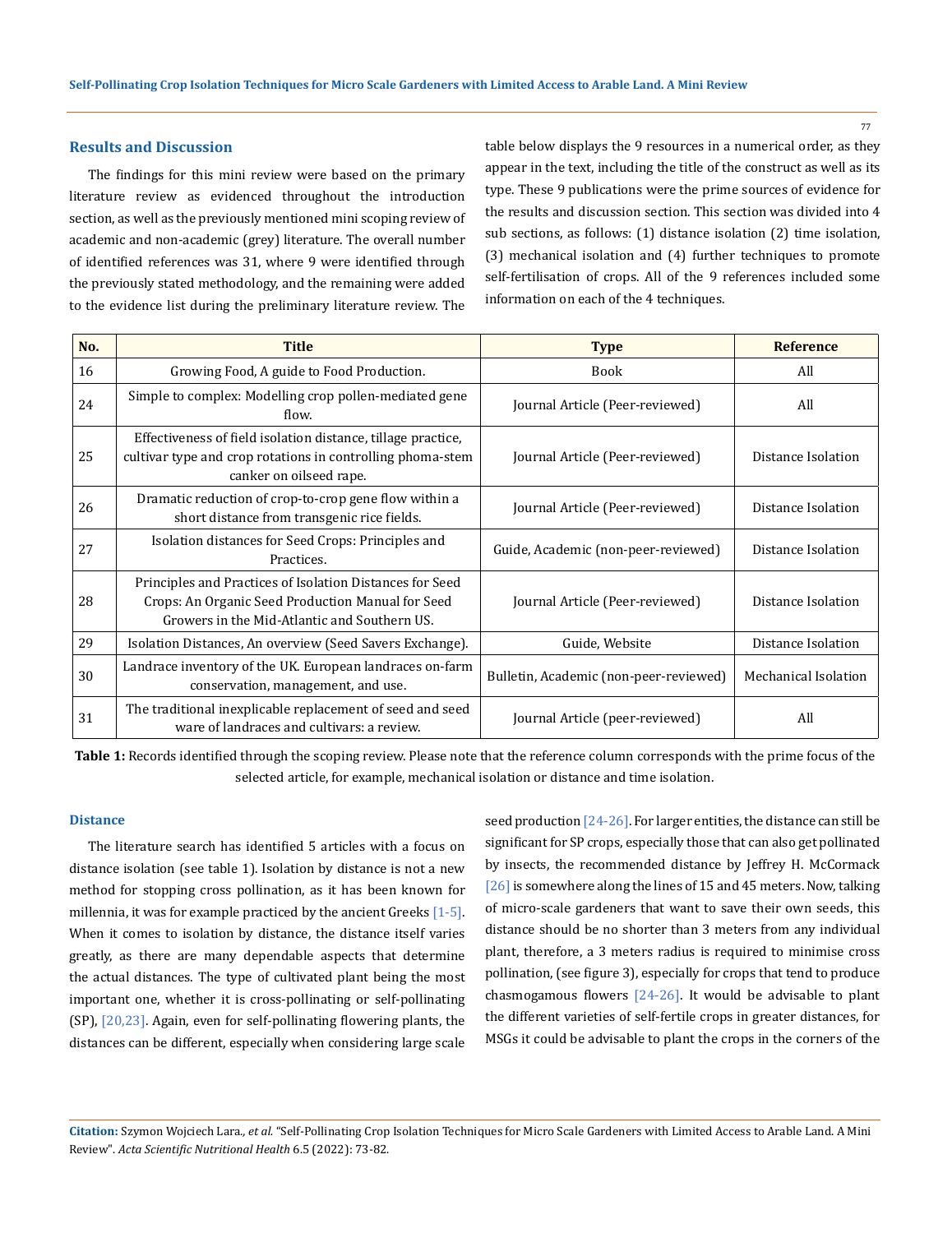## **Results and Discussion**

The findings for this mini review were based on the primary literature review as evidenced throughout the introduction section, as well as the previously mentioned mini scoping review of academic and non-academic (grey) literature. The overall number of identified references was 31, where 9 were identified through the previously stated methodology, and the remaining were added to the evidence list during the preliminary literature review. The table below displays the 9 resources in a numerical order, as they appear in the text, including the title of the construct as well as its type. These 9 publications were the prime sources of evidence for the results and discussion section. This section was divided into 4 sub sections, as follows: (1) distance isolation (2) time isolation, (3) mechanical isolation and (4) further techniques to promote self-fertilisation of crops. All of the 9 references included some information on each of the 4 techniques.

| No. | <b>Title</b>                                                                                                                                                  | <b>Type</b>                            | <b>Reference</b>     |
|-----|---------------------------------------------------------------------------------------------------------------------------------------------------------------|----------------------------------------|----------------------|
| 16  | Growing Food, A guide to Food Production.                                                                                                                     | <b>Book</b>                            | All                  |
| 24  | Simple to complex: Modelling crop pollen-mediated gene<br>flow.                                                                                               | Journal Article (Peer-reviewed)        | All                  |
| 25  | Effectiveness of field isolation distance, tillage practice,<br>cultivar type and crop rotations in controlling phoma-stem<br>canker on oilseed rape.         | Journal Article (Peer-reviewed)        | Distance Isolation   |
| 26  | Dramatic reduction of crop-to-crop gene flow within a<br>short distance from transgenic rice fields.                                                          | Journal Article (Peer-reviewed)        | Distance Isolation   |
| 27  | Isolation distances for Seed Crops: Principles and<br>Practices.                                                                                              | Guide, Academic (non-peer-reviewed)    | Distance Isolation   |
| 28  | Principles and Practices of Isolation Distances for Seed<br>Crops: An Organic Seed Production Manual for Seed<br>Growers in the Mid-Atlantic and Southern US. | Journal Article (Peer-reviewed)        | Distance Isolation   |
| 29  | Isolation Distances, An overview (Seed Savers Exchange).                                                                                                      | Guide, Website                         | Distance Isolation   |
| 30  | Landrace inventory of the UK. European landraces on-farm<br>conservation, management, and use.                                                                | Bulletin, Academic (non-peer-reviewed) | Mechanical Isolation |
| 31  | The traditional inexplicable replacement of seed and seed<br>ware of landraces and cultivars: a review.                                                       | [ournal Article (peer-reviewed)        | All                  |

**Table 1:** Records identified through the scoping review. Please note that the reference column corresponds with the prime focus of the selected article, for example, mechanical isolation or distance and time isolation.

# **Distance**

The literature search has identified 5 articles with a focus on distance isolation (see table 1). Isolation by distance is not a new method for stopping cross pollination, as it has been known for millennia, it was for example practiced by the ancient Greeks  $[1-5]$ . When it comes to isolation by distance, the distance itself varies greatly, as there are many dependable aspects that determine the actual distances. The type of cultivated plant being the most important one, whether it is cross-pollinating or self-pollinating (SP), [20,23]. Again, even for self-pollinating flowering plants, the distances can be different, especially when considering large scale seed production [24-26]. For larger entities, the distance can still be significant for SP crops, especially those that can also get pollinated by insects, the recommended distance by Jeffrey H. McCormack [26] is somewhere along the lines of 15 and 45 meters. Now, talking of micro-scale gardeners that want to save their own seeds, this distance should be no shorter than 3 meters from any individual plant, therefore, a 3 meters radius is required to minimise cross pollination, (see figure 3), especially for crops that tend to produce chasmogamous flowers [24-26]. It would be advisable to plant the different varieties of self-fertile crops in greater distances, for MSGs it could be advisable to plant the crops in the corners of the

**Citation:** Szymon Wojciech Lara*., et al.* "Self-Pollinating Crop Isolation Techniques for Micro Scale Gardeners with Limited Access to Arable Land. A Mini Review". *Acta Scientific Nutritional Health* 6.5 (2022): 73-82.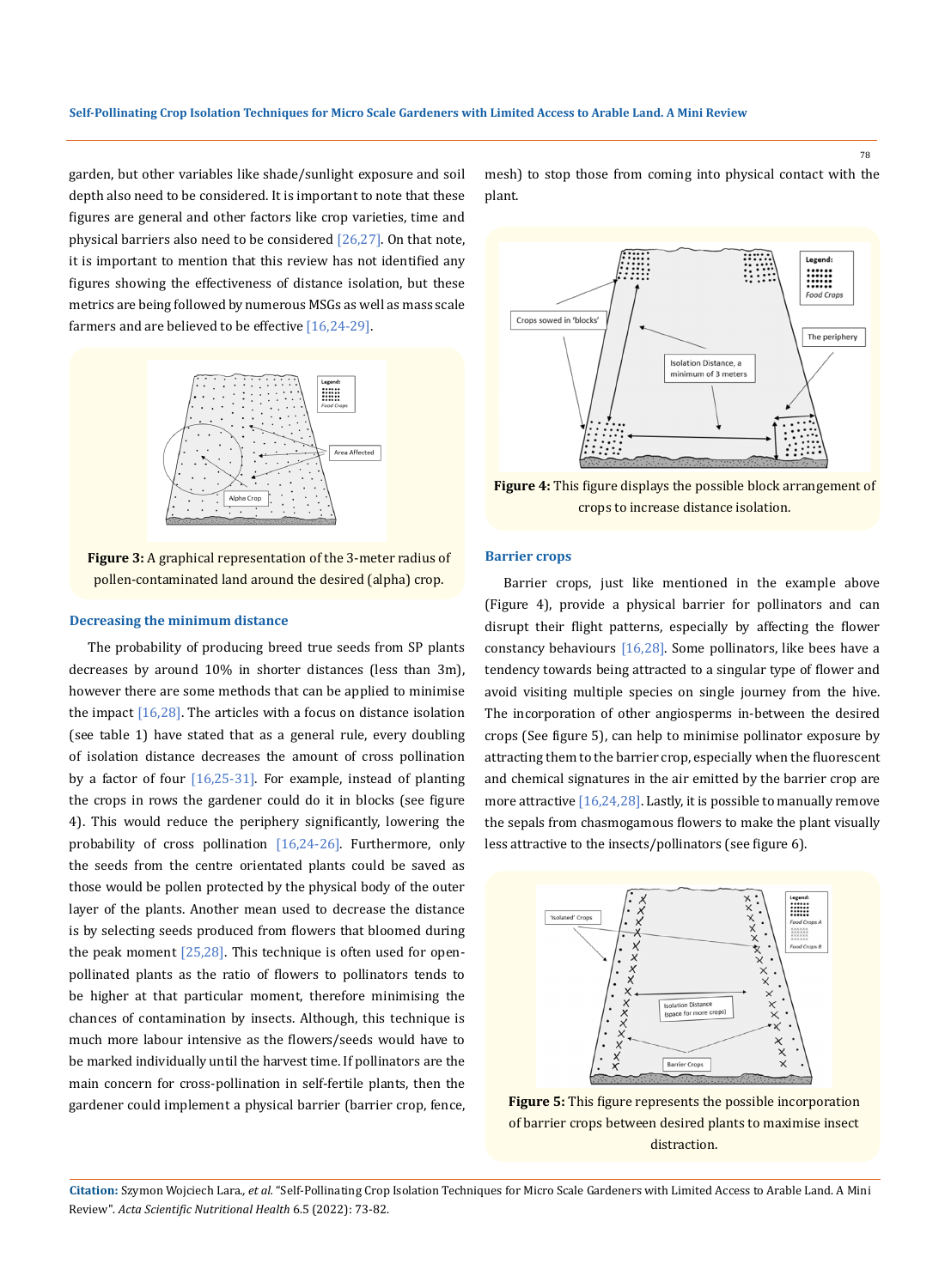garden, but other variables like shade/sunlight exposure and soil depth also need to be considered. It is important to note that these figures are general and other factors like crop varieties, time and physical barriers also need to be considered  $[26,27]$ . On that note, it is important to mention that this review has not identified any figures showing the effectiveness of distance isolation, but these metrics are being followed by numerous MSGs as well as mass scale farmers and are believed to be effective [16,24-29].



**Figure 3:** A graphical representation of the 3-meter radius of pollen-contaminated land around the desired (alpha) crop.

## **Decreasing the minimum distance**

The probability of producing breed true seeds from SP plants decreases by around 10% in shorter distances (less than 3m), however there are some methods that can be applied to minimise the impact  $[16,28]$ . The articles with a focus on distance isolation (see table 1) have stated that as a general rule, every doubling of isolation distance decreases the amount of cross pollination by a factor of four  $[16,25-31]$ . For example, instead of planting the crops in rows the gardener could do it in blocks (see figure 4). This would reduce the periphery significantly, lowering the probability of cross pollination [16,24-26]. Furthermore, only the seeds from the centre orientated plants could be saved as those would be pollen protected by the physical body of the outer layer of the plants. Another mean used to decrease the distance is by selecting seeds produced from flowers that bloomed during the peak moment  $[25,28]$ . This technique is often used for openpollinated plants as the ratio of flowers to pollinators tends to be higher at that particular moment, therefore minimising the chances of contamination by insects. Although, this technique is much more labour intensive as the flowers/seeds would have to be marked individually until the harvest time. If pollinators are the main concern for cross-pollination in self-fertile plants, then the gardener could implement a physical barrier (barrier crop, fence, mesh) to stop those from coming into physical contact with the plant.



**Figure 4:** This figure displays the possible block arrangement of crops to increase distance isolation.

#### **Barrier crops**

Barrier crops, just like mentioned in the example above (Figure 4), provide a physical barrier for pollinators and can disrupt their flight patterns, especially by affecting the flower constancy behaviours [16,28]. Some pollinators, like bees have a tendency towards being attracted to a singular type of flower and avoid visiting multiple species on single journey from the hive. The incorporation of other angiosperms in-between the desired crops (See figure 5), can help to minimise pollinator exposure by attracting them to the barrier crop, especially when the fluorescent and chemical signatures in the air emitted by the barrier crop are more attractive [16,24,28]. Lastly, it is possible to manually remove the sepals from chasmogamous flowers to make the plant visually less attractive to the insects/pollinators (see figure 6).



**Figure 5:** This figure represents the possible incorporation of barrier crops between desired plants to maximise insect distraction.

**Citation:** Szymon Wojciech Lara*., et al.* "Self-Pollinating Crop Isolation Techniques for Micro Scale Gardeners with Limited Access to Arable Land. A Mini Review". *Acta Scientific Nutritional Health* 6.5 (2022): 73-82.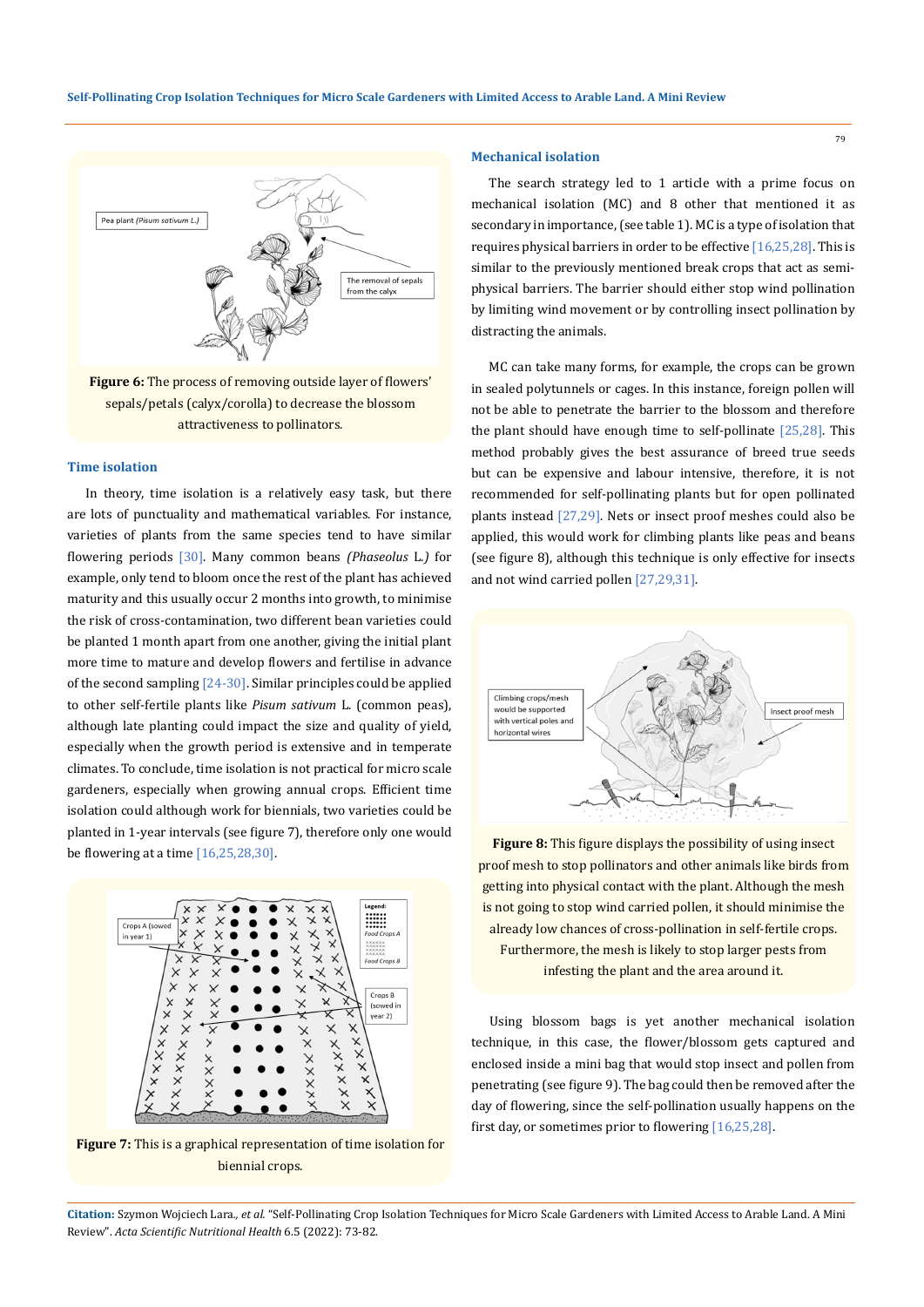

**Figure 6:** The process of removing outside layer of flowers' sepals/petals (calyx/corolla) to decrease the blossom attractiveness to pollinators.

## **Time isolation**

In theory, time isolation is a relatively easy task, but there are lots of punctuality and mathematical variables. For instance, varieties of plants from the same species tend to have similar flowering periods [30]. Many common beans *(Phaseolus* L.*)* for example, only tend to bloom once the rest of the plant has achieved maturity and this usually occur 2 months into growth, to minimise the risk of cross-contamination, two different bean varieties could be planted 1 month apart from one another, giving the initial plant more time to mature and develop flowers and fertilise in advance of the second sampling  $[24-30]$ . Similar principles could be applied to other self-fertile plants like *Pisum sativum* L. (common peas), although late planting could impact the size and quality of yield, especially when the growth period is extensive and in temperate climates. To conclude, time isolation is not practical for micro scale gardeners, especially when growing annual crops. Efficient time isolation could although work for biennials, two varieties could be planted in 1-year intervals (see figure 7), therefore only one would be flowering at a time  $[16, 25, 28, 30]$ .



**Figure 7:** This is a graphical representation of time isolation for biennial crops.

# **Mechanical isolation**

The search strategy led to 1 article with a prime focus on mechanical isolation (MC) and 8 other that mentioned it as secondary in importance, (see table 1). MC is a type of isolation that requires physical barriers in order to be effective [16,25,28]. This is similar to the previously mentioned break crops that act as semiphysical barriers. The barrier should either stop wind pollination by limiting wind movement or by controlling insect pollination by distracting the animals.

MC can take many forms, for example, the crops can be grown in sealed polytunnels or cages. In this instance, foreign pollen will not be able to penetrate the barrier to the blossom and therefore the plant should have enough time to self-pollinate  $[25,28]$ . This method probably gives the best assurance of breed true seeds but can be expensive and labour intensive, therefore, it is not recommended for self-pollinating plants but for open pollinated plants instead [27,29]. Nets or insect proof meshes could also be applied, this would work for climbing plants like peas and beans (see figure 8), although this technique is only effective for insects and not wind carried pollen [27,29,31].



**Figure 8:** This figure displays the possibility of using insect proof mesh to stop pollinators and other animals like birds from getting into physical contact with the plant. Although the mesh is not going to stop wind carried pollen, it should minimise the already low chances of cross-pollination in self-fertile crops. Furthermore, the mesh is likely to stop larger pests from infesting the plant and the area around it.

Using blossom bags is yet another mechanical isolation technique, in this case, the flower/blossom gets captured and enclosed inside a mini bag that would stop insect and pollen from penetrating (see figure 9). The bag could then be removed after the day of flowering, since the self-pollination usually happens on the first day, or sometimes prior to flowering [16,25,28].

**Citation:** Szymon Wojciech Lara*., et al.* "Self-Pollinating Crop Isolation Techniques for Micro Scale Gardeners with Limited Access to Arable Land. A Mini Review". *Acta Scientific Nutritional Health* 6.5 (2022): 73-82.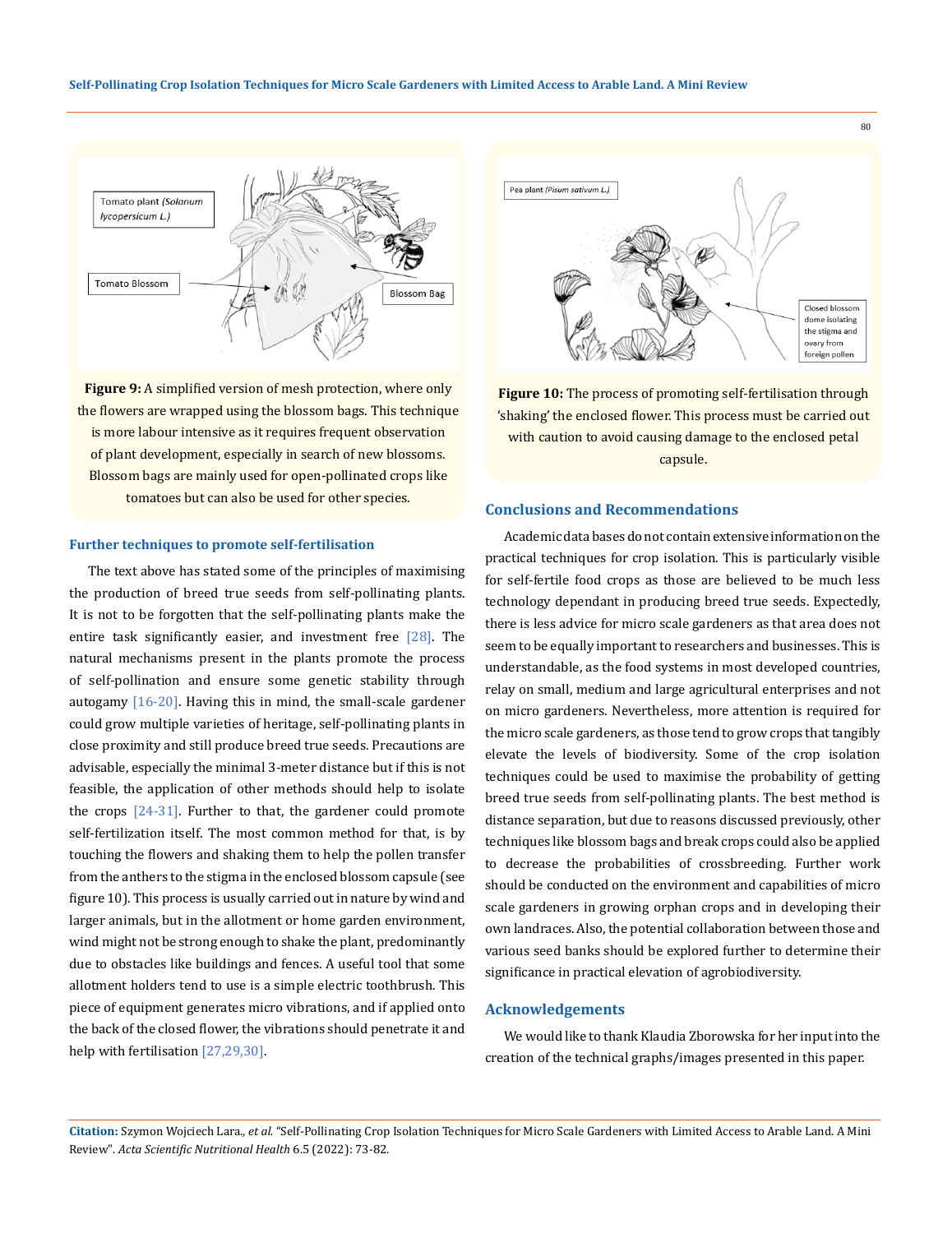**Self-Pollinating Crop Isolation Techniques for Micro Scale Gardeners with Limited Access to Arable Land. A Mini Review**



**Figure 9:** A simplified version of mesh protection, where only the flowers are wrapped using the blossom bags. This technique is more labour intensive as it requires frequent observation of plant development, especially in search of new blossoms. Blossom bags are mainly used for open-pollinated crops like tomatoes but can also be used for other species.

#### **Further techniques to promote self-fertilisation**

The text above has stated some of the principles of maximising the production of breed true seeds from self-pollinating plants. It is not to be forgotten that the self-pollinating plants make the entire task significantly easier, and investment free [28]. The natural mechanisms present in the plants promote the process of self-pollination and ensure some genetic stability through autogamy  $[16-20]$ . Having this in mind, the small-scale gardener could grow multiple varieties of heritage, self-pollinating plants in close proximity and still produce breed true seeds. Precautions are advisable, especially the minimal 3-meter distance but if this is not feasible, the application of other methods should help to isolate the crops [24-31]. Further to that, the gardener could promote self-fertilization itself. The most common method for that, is by touching the flowers and shaking them to help the pollen transfer from the anthers to the stigma in the enclosed blossom capsule (see figure 10). This process is usually carried out in nature by wind and larger animals, but in the allotment or home garden environment, wind might not be strong enough to shake the plant, predominantly due to obstacles like buildings and fences. A useful tool that some allotment holders tend to use is a simple electric toothbrush. This piece of equipment generates micro vibrations, and if applied onto the back of the closed flower, the vibrations should penetrate it and help with fertilisation [27,29,30].



**Figure 10:** The process of promoting self-fertilisation through 'shaking' the enclosed flower. This process must be carried out with caution to avoid causing damage to the enclosed petal capsule.

# **Conclusions and Recommendations**

Academic data bases do not contain extensive information on the practical techniques for crop isolation. This is particularly visible for self-fertile food crops as those are believed to be much less technology dependant in producing breed true seeds. Expectedly, there is less advice for micro scale gardeners as that area does not seem to be equally important to researchers and businesses. This is understandable, as the food systems in most developed countries, relay on small, medium and large agricultural enterprises and not on micro gardeners. Nevertheless, more attention is required for the micro scale gardeners, as those tend to grow crops that tangibly elevate the levels of biodiversity. Some of the crop isolation techniques could be used to maximise the probability of getting breed true seeds from self-pollinating plants. The best method is distance separation, but due to reasons discussed previously, other techniques like blossom bags and break crops could also be applied to decrease the probabilities of crossbreeding. Further work should be conducted on the environment and capabilities of micro scale gardeners in growing orphan crops and in developing their own landraces. Also, the potential collaboration between those and various seed banks should be explored further to determine their significance in practical elevation of agrobiodiversity.

## **Acknowledgements**

We would like to thank Klaudia Zborowska for her input into the creation of the technical graphs/images presented in this paper.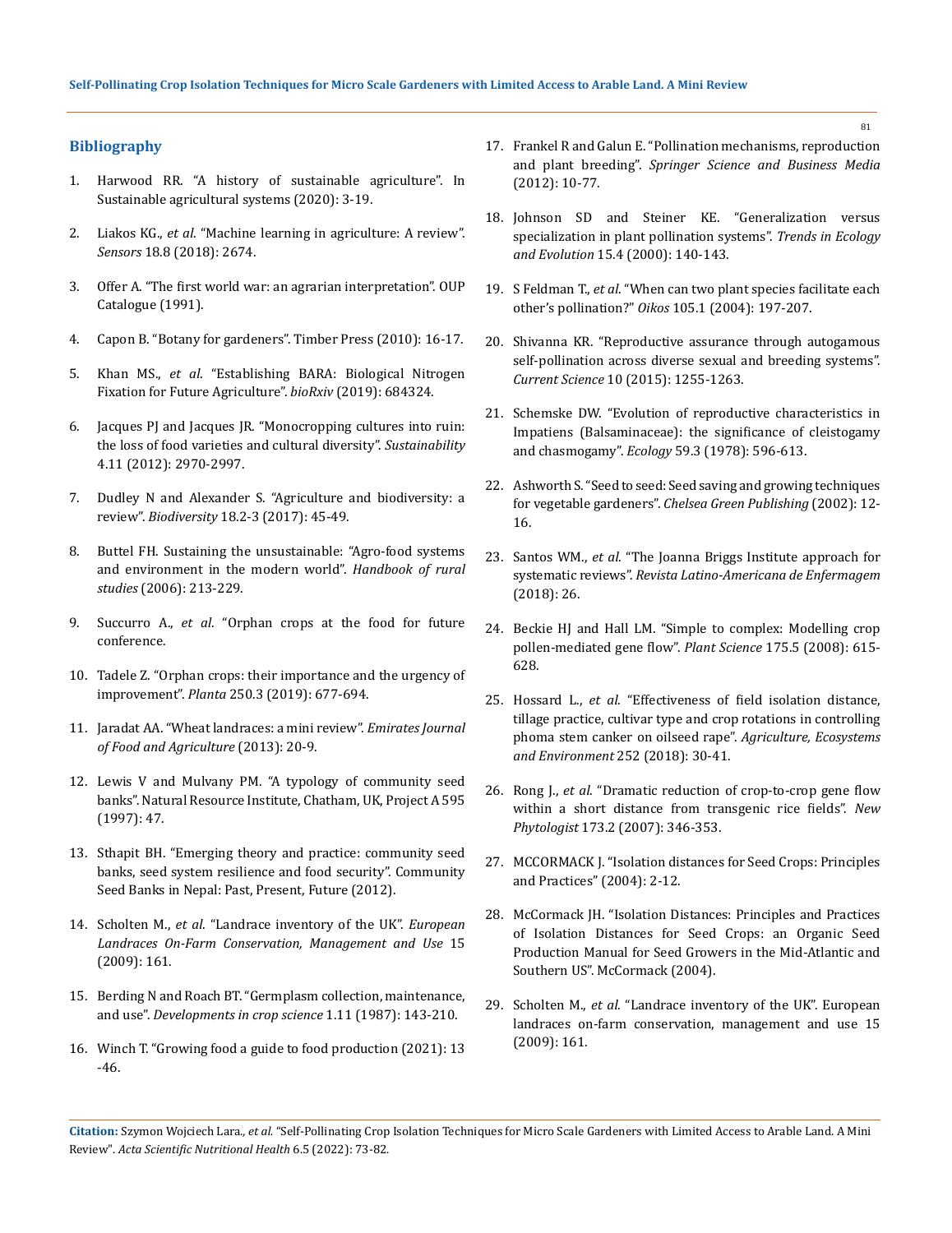# **Bibliography**

- 1. [Harwood RR. "A history of sustainable agriculture". In](https://www.eap.mcgill.ca/AASA_1.htm)  [Sustainable agricultural systems \(2020\): 3-19.](https://www.eap.mcgill.ca/AASA_1.htm)
- 2. Liakos KG., *et al*[. "Machine learning in agriculture: A review".](https://www.mdpi.com/1424-8220/18/8/2674)  *Sensors* [18.8 \(2018\): 2674.](https://www.mdpi.com/1424-8220/18/8/2674)
- 3. [Offer A. "The first world war: an agrarian interpretation". OUP](https://www.jstor.org/stable/3788766)  [Catalogue \(1991\).](https://www.jstor.org/stable/3788766)
- 4. [Capon B. "Botany for gardeners". Timber Press \(2010\): 16-17.](https://www.goodreads.com/book/show/594467.Botany_for_Gardeners)
- 5. Khan MS., *et al*[. "Establishing BARA: Biological Nitrogen](https://www.researchgate.net/publication/334090257_Establishing_BARA_Biological_Nitrogen_Fixation_for_Future_Agriculture)  [Fixation for Future Agriculture".](https://www.researchgate.net/publication/334090257_Establishing_BARA_Biological_Nitrogen_Fixation_for_Future_Agriculture) *bioRxiv* (2019): 684324.
- 6. [Jacques PJ and Jacques JR. "Monocropping cultures into ruin:](https://www.researchgate.net/publication/278013716_Monocropping_Cultures_into_Ruin_The_Loss_of_Food_Varieties_and_Cultural_Diversity)  [the loss of food varieties and cultural diversity".](https://www.researchgate.net/publication/278013716_Monocropping_Cultures_into_Ruin_The_Loss_of_Food_Varieties_and_Cultural_Diversity) *Sustainability* [4.11 \(2012\): 2970-2997.](https://www.researchgate.net/publication/278013716_Monocropping_Cultures_into_Ruin_The_Loss_of_Food_Varieties_and_Cultural_Diversity)
- 7. [Dudley N and Alexander S. "Agriculture and biodiversity: a](https://www.researchgate.net/publication/318758175_Agriculture_and_biodiversity_a_review)  review". *Biodiversity* [18.2-3 \(2017\): 45-49.](https://www.researchgate.net/publication/318758175_Agriculture_and_biodiversity_a_review)
- 8. [Buttel FH. Sustaining the unsustainable: "Agro-food systems](https://www.researchgate.net/publication/293143820_Sustaining_the_unsustainable_Agro-food_systems_and_environment_in_the_modern_world)  [and environment in the modern world".](https://www.researchgate.net/publication/293143820_Sustaining_the_unsustainable_Agro-food_systems_and_environment_in_the_modern_world) *Handbook of rural studies* [\(2006\): 213-229.](https://www.researchgate.net/publication/293143820_Sustaining_the_unsustainable_Agro-food_systems_and_environment_in_the_modern_world)
- 9. Succurro A., *et al*[. "Orphan crops at the food for future](https://link.springer.com/article/10.1007/s00425-019-03229-9)  [conference.](https://link.springer.com/article/10.1007/s00425-019-03229-9)
- 10. [Tadele Z. "Orphan crops: their importance and the urgency of](https://pubmed.ncbi.nlm.nih.gov/31190115/)  improvement". *Planta* [250.3 \(2019\): 677-694.](https://pubmed.ncbi.nlm.nih.gov/31190115/)
- 11. [Jaradat AA. "Wheat landraces: a mini review".](https://www.researchgate.net/publication/272988244_Wheat_Landraces_A_mini_review) *Emirates Journal [of Food and Agriculture](https://www.researchgate.net/publication/272988244_Wheat_Landraces_A_mini_review)* (2013): 20-9.
- 12. [Lewis V and Mulvany PM. "A typology of community seed](https://www.researchgate.net/publication/254439563_A_Typology_of_Community_Seed_Banks)  [banks". Natural Resource Institute, Chatham, UK, Project A 595](https://www.researchgate.net/publication/254439563_A_Typology_of_Community_Seed_Banks)  [\(1997\): 47.](https://www.researchgate.net/publication/254439563_A_Typology_of_Community_Seed_Banks)
- 13. [Sthapit BH. "Emerging theory and practice: community seed](https://www.researchgate.net/publication/272972774_Emerging_Theory_and_Practice_Community_Seed_Banks_Seed_System_Resilience_and_Food_Security)  [banks, seed system resilience and food security". Community](https://www.researchgate.net/publication/272972774_Emerging_Theory_and_Practice_Community_Seed_Banks_Seed_System_Resilience_and_Food_Security)  [Seed Banks in Nepal: Past, Present, Future \(2012\).](https://www.researchgate.net/publication/272972774_Emerging_Theory_and_Practice_Community_Seed_Banks_Seed_System_Resilience_and_Food_Security)
- 14. Scholten M., *et al*. "Landrace inventory of the UK". *European Landraces On-Farm Conservation, Management and Use* 15 (2009): 161.
- 15. [Berding N and Roach BT. "Germplasm collection, maintenance,](https://www.sciencedirect.com/science/article/abs/pii/B9780444427694500096)  and use". *[Developments in crop science](https://www.sciencedirect.com/science/article/abs/pii/B9780444427694500096)* 1.11 (1987): 143-210.
- 16. [Winch T. "Growing food a guide to food production \(2021\): 13](https://www.researchgate.net/publication/292445203_Growing_food_A_guide_to_food_production)  [-46.](https://www.researchgate.net/publication/292445203_Growing_food_A_guide_to_food_production)
- 17. [Frankel R and Galun E. "Pollination mechanisms, reproduction](https://link.springer.com/book/10.1007/978-3-642-81059-6)  and plant breeding". *[Springer Science and Business Media](https://link.springer.com/book/10.1007/978-3-642-81059-6)* [\(2012\): 10-77.](https://link.springer.com/book/10.1007/978-3-642-81059-6)
- 18. [Johnson SD and Steiner KE. "Generalization versus](https://pubmed.ncbi.nlm.nih.gov/10717682/)  [specialization in plant pollination systems".](https://pubmed.ncbi.nlm.nih.gov/10717682/) *Trends in Ecology and Evolution* [15.4 \(2000\): 140-143.](https://pubmed.ncbi.nlm.nih.gov/10717682/)
- 19. S Feldman T., *et al*[. "When can two plant species facilitate each](https://www.jstor.org/stable/3547899)  other's pollination?" *Oikos* [105.1 \(2004\): 197-207.](https://www.jstor.org/stable/3547899)
- 20. [Shivanna KR. "Reproductive assurance through autogamous](https://www.researchgate.net/publication/282771950_Reproductive_Assurance_through_Autogamous_Self-pollination_across_Diverse_Sexual_and_Breeding_Systems)  [self-pollination across diverse sexual and breeding systems".](https://www.researchgate.net/publication/282771950_Reproductive_Assurance_through_Autogamous_Self-pollination_across_Diverse_Sexual_and_Breeding_Systems)  *Current Science* [10 \(2015\): 1255-1263.](https://www.researchgate.net/publication/282771950_Reproductive_Assurance_through_Autogamous_Self-pollination_across_Diverse_Sexual_and_Breeding_Systems)
- 21. [Schemske DW. "Evolution of reproductive characteristics in](https://www.jstor.org/stable/1936588)  [Impatiens \(Balsaminaceae\): the significance of cleistogamy](https://www.jstor.org/stable/1936588)  and chasmogamy". *Ecology* [59.3 \(1978\): 596-613.](https://www.jstor.org/stable/1936588)
- 22. [Ashworth S. "Seed to seed: Seed saving and growing techniques](https://www.goodreads.com/en/book/show/241068.Seed_to_Seed)  for vegetable gardeners". *[Chelsea Green Publishing](https://www.goodreads.com/en/book/show/241068.Seed_to_Seed)* (2002): 12- [16.](https://www.goodreads.com/en/book/show/241068.Seed_to_Seed)
- 23. Santos WM., *et al*[. "The Joanna Briggs Institute approach for](https://www.ncbi.nlm.nih.gov/pmc/articles/PMC6248737/)  systematic reviews". *[Revista Latino-Americana de Enfermagem](https://www.ncbi.nlm.nih.gov/pmc/articles/PMC6248737/)* [\(2018\): 26.](https://www.ncbi.nlm.nih.gov/pmc/articles/PMC6248737/)
- 24. [Beckie HJ and Hall LM. "Simple to complex: Modelling crop](https://www.sciencedirect.com/science/article/abs/pii/S016894520800160X)  [pollen-mediated gene flow".](https://www.sciencedirect.com/science/article/abs/pii/S016894520800160X) *Plant Science* 175.5 (2008): 615- [628.](https://www.sciencedirect.com/science/article/abs/pii/S016894520800160X)
- 25. Hossard L., *et al*[. "Effectiveness of field isolation distance,](https://www.sciencedirect.com/science/article/abs/pii/S0167880917304474)  [tillage practice, cultivar type and crop rotations in controlling](https://www.sciencedirect.com/science/article/abs/pii/S0167880917304474)  [phoma stem canker on oilseed rape".](https://www.sciencedirect.com/science/article/abs/pii/S0167880917304474) *Agriculture, Ecosystems [and Environment](https://www.sciencedirect.com/science/article/abs/pii/S0167880917304474)* 252 (2018): 30-41.
- 26. Rong J., *et al*[. "Dramatic reduction of crop‐to‐crop gene flow](https://pubmed.ncbi.nlm.nih.gov/17204081/)  [within a short distance from transgenic rice fields".](https://pubmed.ncbi.nlm.nih.gov/17204081/) *New Phytologist* [173.2 \(2007\): 346-353.](https://pubmed.ncbi.nlm.nih.gov/17204081/)
- 27. [MCCORMACK J. "Isolation distances for Seed Crops: Principles](https://www.carolinafarmstewards.org/wp-content/uploads/2012/05/IsolationDistancesVer_1pt5.pdf)  [and Practices" \(2004\): 2-12.](https://www.carolinafarmstewards.org/wp-content/uploads/2012/05/IsolationDistancesVer_1pt5.pdf)
- 28. [McCormack JH. "Isolation Distances: Principles and Practices](https://www.carolinafarmstewards.org/wp-content/uploads/2012/05/IsolationDistancesVer_1pt5.pdf)  [of Isolation Distances for Seed Crops: an Organic Seed](https://www.carolinafarmstewards.org/wp-content/uploads/2012/05/IsolationDistancesVer_1pt5.pdf)  [Production Manual for Seed Growers in the Mid-Atlantic and](https://www.carolinafarmstewards.org/wp-content/uploads/2012/05/IsolationDistancesVer_1pt5.pdf)  [Southern US". McCormack \(2004\).](https://www.carolinafarmstewards.org/wp-content/uploads/2012/05/IsolationDistancesVer_1pt5.pdf)
- 29. Scholten M., *et al*. "Landrace inventory of the UK". European landraces on-farm conservation, management and use 15 (2009): 161.

**Citation:** Szymon Wojciech Lara*., et al.* "Self-Pollinating Crop Isolation Techniques for Micro Scale Gardeners with Limited Access to Arable Land. A Mini Review". *Acta Scientific Nutritional Health* 6.5 (2022): 73-82.